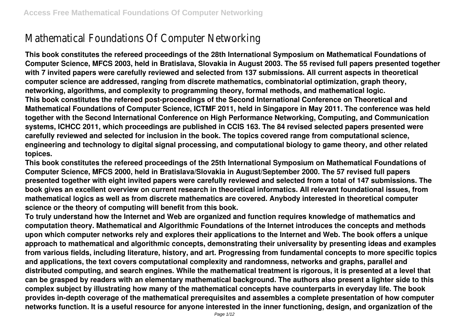# Mathematical Foundations Of Computer Networking

**This book constitutes the refereed proceedings of the 28th International Symposium on Mathematical Foundations of Computer Science, MFCS 2003, held in Bratislava, Slovakia in August 2003. The 55 revised full papers presented together with 7 invited papers were carefully reviewed and selected from 137 submissions. All current aspects in theoretical computer science are addressed, ranging from discrete mathematics, combinatorial optimization, graph theory, networking, algorithms, and complexity to programming theory, formal methods, and mathematical logic. This book constitutes the refereed post-proceedings of the Second International Conference on Theoretical and Mathematical Foundations of Computer Science, ICTMF 2011, held in Singapore in May 2011. The conference was held together with the Second International Conference on High Performance Networking, Computing, and Communication systems, ICHCC 2011, which proceedings are published in CCIS 163. The 84 revised selected papers presented were carefully reviewed and selected for inclusion in the book. The topics covered range from computational science, engineering and technology to digital signal processing, and computational biology to game theory, and other related topices.**

**This book constitutes the refereed proceedings of the 25th International Symposium on Mathematical Foundations of Computer Science, MFCS 2000, held in Bratislava/Slovakia in August/September 2000. The 57 revised full papers presented together with eight invited papers were carefully reviewed and selected from a total of 147 submissions. The book gives an excellent overview on current research in theoretical informatics. All relevant foundational issues, from mathematical logics as well as from discrete mathematics are covered. Anybody interested in theoretical computer science or the theory of computing will benefit from this book.**

**To truly understand how the Internet and Web are organized and function requires knowledge of mathematics and computation theory. Mathematical and Algorithmic Foundations of the Internet introduces the concepts and methods upon which computer networks rely and explores their applications to the Internet and Web. The book offers a unique approach to mathematical and algorithmic concepts, demonstrating their universality by presenting ideas and examples from various fields, including literature, history, and art. Progressing from fundamental concepts to more specific topics and applications, the text covers computational complexity and randomness, networks and graphs, parallel and distributed computing, and search engines. While the mathematical treatment is rigorous, it is presented at a level that can be grasped by readers with an elementary mathematical background. The authors also present a lighter side to this complex subject by illustrating how many of the mathematical concepts have counterparts in everyday life. The book provides in-depth coverage of the mathematical prerequisites and assembles a complete presentation of how computer networks function. It is a useful resource for anyone interested in the inner functioning, design, and organization of the**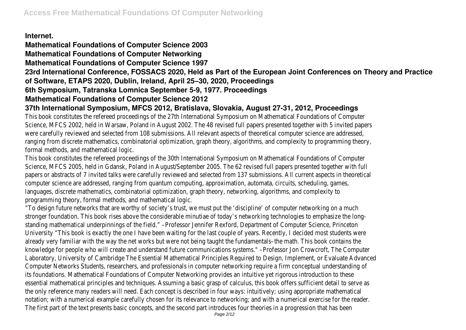#### **Internet.**

## **Mathematical Foundations of Computer Science 2003**

#### **Mathematical Foundations of Computer Networking**

#### **Mathematical Foundations of Computer Science 1997**

**23rd International Conference, FOSSACS 2020, Held as Part of the European Joint Conferences on Theory and Practice**

#### **of Software, ETAPS 2020, Dublin, Ireland, April 25–30, 2020, Proceedings**

#### **6th Symposium, Tatranska Lomnica September 5-9, 1977. Proceedings**

### **Mathematical Foundations of Computer Science 2012**

# **37th International Symposium, MFCS 2012, Bratislava, Slovakia, August 27-31, 2012, Proceedings**

This book constitutes the refereed proceedings of the 27th International Symposium on Mathematical Foundations of Computer Science, MFCS 2002, held in Warsaw, Poland in August 2002. The 48 revised full papers presented together with 5 invited papers were carefully reviewed and selected from 108 submissions. All relevant aspects of theoretical computer science are addressed, ranging from discrete mathematics, combinatorial optimization, graph theory, algorithms, and complexity to programming theory, formal methods, and mathematical logic.

This book constitutes the refereed proceedings of the 30th International Symposium on Mathematical Foundations of Computer Science, MFCS 2005, held in Gdansk, Poland in August/September 2005. The 62 revised full papers presented together with full papers or abstracts of 7 invited talks were carefully reviewed and selected from 137 submissions. All current aspects in theoretical computer science are addressed, ranging from quantum computing, approximation, automata, circuits, scheduling, games, languages, discrete mathematics, combinatorial optimization, graph theory, networking, algorithms, and complexity to programming theory, formal methods, and mathematical logic.

"To design future networks that are worthy of society's trust, we must put the 'discipline' of computer networking on a much stronger foundation. This book rises above the considerable minutiae of today's networking technologies to emphasize the longstanding mathematical underpinnings of the field." –Professor Jennifer Rexford, Department of Computer Science, Princeton University "This book is exactly the one I have been waiting for the last couple of years. Recently, I decided most students were already very familiar with the way the net works but were not being taught the fundamentals–the math. This book contains the knowledge for people who will create and understand future communications systems." –Professor Jon Crowcroft, The Computer Laboratory, University of Cambridge The Essential Mathematical Principles Required to Design, Implement, or Evaluate Advanced Computer Networks Students, researchers, and professionals in computer networking require a firm conceptual understanding of its foundations. Mathematical Foundations of Computer Networking provides an intuitive yet rigorous introduction to these essential mathematical principles and techniques. Assuming a basic grasp of calculus, this book offers sufficient detail to serve as the only reference many readers will need. Each concept is described in four ways: intuitively; using appropriate mathematical notation; with a numerical example carefully chosen for its relevance to networking; and with a numerical exercise for the reader. The first part of the text presents basic concepts, and the second part introduces four theories in a progression that has been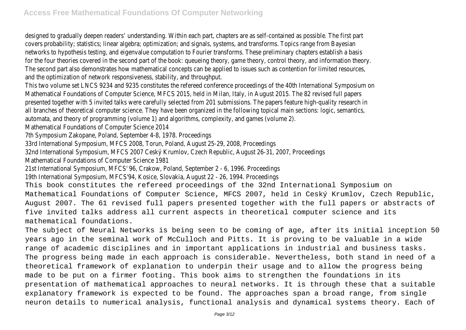designed to gradually deepen readers' understanding. Within each part, chapters are as self-contained as possible. The first part covers probability; statistics; linear algebra; optimization; and signals, systems, and transforms. Topics range from Bayesian networks to hypothesis testing, and eigenvalue computation to Fourier transforms. These preliminary chapters establish a basis for the four theories covered in the second part of the book: queueing theory, game theory, control theory, and information theory. The second part also demonstrates how mathematical concepts can be applied to issues such as contention for limited resources, and the optimization of network responsiveness, stability, and throughput.

This two volume set LNCS 9234 and 9235 constitutes the refereed conference proceedings of the 40th International Symposium on Mathematical Foundations of Computer Science, MFCS 2015, held in Milan, Italy, in August 2015. The 82 revised full papers presented together with 5 invited talks were carefully selected from 201 submissions. The papers feature high-quality research in all branches of theoretical computer science. They have been organized in the following topical main sections: logic, semantics,

automata, and theory of programming (volume 1) and algorithms, complexity, and games (volume 2).

Mathematical Foundations of Computer Science 2014

7th Symposium Zakopane, Poland, September 4-8, 1978. Proceedings

33rd International Symposium, MFCS 2008, Torun, Poland, August 25-29, 2008, Proceedings

32nd International Symposium, MFCS 2007 Ceský Krumlov, Czech Republic, August 26-31, 2007, Proceedings

Mathematical Foundations of Computer Science 1981

21st International Symposium, MFCS' 96, Crakow, Poland, September 2 - 6, 1996. Proceedings

19th International Symposium, MFCS'94, Kosice, Slovakia, August 22 - 26, 1994. Proceedings

This book constitutes the refereed proceedings of the 32nd International Symposium on Mathematical Foundations of Computer Science, MFCS 2007, held in Ceský Krumlov, Czech Republic, August 2007. The 61 revised full papers presented together with the full papers or abstracts of five invited talks address all current aspects in theoretical computer science and its mathematical foundations.

The subject of Neural Networks is being seen to be coming of age, after its initial inception 50 years ago in the seminal work of McCulloch and Pitts. It is proving to be valuable in a wide range of academic disciplines and in important applications in industrial and business tasks. The progress being made in each approach is considerable. Nevertheless, both stand in need of a theoretical framework of explanation to underpin their usage and to allow the progress being made to be put on a firmer footing. This book aims to strengthen the foundations in its presentation of mathematical approaches to neural networks. It is through these that a suitable explanatory framework is expected to be found. The approaches span a broad range, from single neuron details to numerical analysis, functional analysis and dynamical systems theory. Each of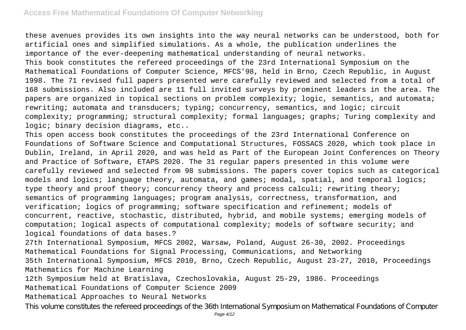these avenues provides its own insights into the way neural networks can be understood, both for artificial ones and simplified simulations. As a whole, the publication underlines the importance of the ever-deepening mathematical understanding of neural networks. This book constitutes the refereed proceedings of the 23rd International Symposium on the Mathematical Foundations of Computer Science, MFCS'98, held in Brno, Czech Republic, in August 1998. The 71 revised full papers presented were carefully reviewed and selected from a total of 168 submissions. Also included are 11 full invited surveys by prominent leaders in the area. The papers are organized in topical sections on problem complexity; logic, semantics, and automata; rewriting; automata and transducers; typing; concurrency, semantics, and logic; circuit complexity; programming; structural complexity; formal languages; graphs; Turing complexity and logic; binary decision diagrams, etc..

This open access book constitutes the proceedings of the 23rd International Conference on Foundations of Software Science and Computational Structures, FOSSACS 2020, which took place in Dublin, Ireland, in April 2020, and was held as Part of the European Joint Conferences on Theory and Practice of Software, ETAPS 2020. The 31 regular papers presented in this volume were carefully reviewed and selected from 98 submissions. The papers cover topics such as categorical models and logics; language theory, automata, and games; modal, spatial, and temporal logics; type theory and proof theory; concurrency theory and process calculi; rewriting theory; semantics of programming languages; program analysis, correctness, transformation, and verification; logics of programming; software specification and refinement; models of concurrent, reactive, stochastic, distributed, hybrid, and mobile systems; emerging models of computation; logical aspects of computational complexity; models of software security; and logical foundations of data bases.?

27th International Symposium, MFCS 2002, Warsaw, Poland, August 26-30, 2002. Proceedings Mathematical Foundations for Signal Processing, Communications, and Networking 35th International Symposium, MFCS 2010, Brno, Czech Republic, August 23-27, 2010, Proceedings Mathematics for Machine Learning

12th Symposium held at Bratislava, Czechoslovakia, August 25-29, 1986. Proceedings Mathematical Foundations of Computer Science 2009

Mathematical Approaches to Neural Networks

This volume constitutes the refereed proceedings of the 36th International Symposium on Mathematical Foundations of Computer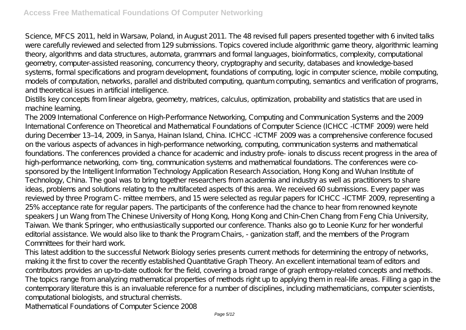Science, MFCS 2011, held in Warsaw, Poland, in August 2011. The 48 revised full papers presented together with 6 invited talks were carefully reviewed and selected from 129 submissions. Topics covered include algorithmic game theory, algorithmic learning theory, algorithms and data structures, automata, grammars and formal languages, bioinformatics, complexity, computational geometry, computer-assisted reasoning, concurrency theory, cryptography and security, databases and knowledge-based systems, formal specifications and program development, foundations of computing, logic in computer science, mobile computing, models of computation, networks, parallel and distributed computing, quantum computing, semantics and verification of programs, and theoretical issues in artificial intelligence.

Distills key concepts from linear algebra, geometry, matrices, calculus, optimization, probability and statistics that are used in machine learning.

The 2009 International Conference on High-Performance Networking, Computing and Communication Systems and the 2009 International Conference on Theoretical and Mathematical Foundations of Computer Science (ICHCC -ICTMF 2009) were held during December 13–14, 2009, in Sanya, Hainan Island, China. ICHCC -ICTMF 2009 was a comprehensive conference focused on the various aspects of advances in high-performance networking, computing, communication systems and mathematical foundations. The conferences provided a chance for academic and industry profe- ionals to discuss recent progress in the area of high-performance networking, com- ting, communication systems and mathematical foundations. The conferences were cosponsored by the Intelligent Information Technology Application Research Association, Hong Kong and Wuhan Institute of Technology, China. The goal was to bring together researchers from academia and industry as well as practitioners to share ideas, problems and solutions relating to the multifaceted aspects of this area. We received 60 submissions. Every paper was reviewed by three Program C- mittee members, and 15 were selected as regular papers for ICHCC -ICTMF 2009, representing a 25% acceptance rate for regular papers. The participants of the conference had the chance to hear from renowned keynote speakers Jun Wang from The Chinese University of Hong Kong, Hong Kong and Chin-Chen Chang from Feng Chia University, Taiwan. We thank Springer, who enthusiastically supported our conference. Thanks also go to Leonie Kunz for her wonderful editorial assistance. We would also like to thank the Program Chairs, - ganization staff, and the members of the Program Committees for their hard work.

This latest addition to the successful Network Biology series presents current methods for determining the entropy of networks, making it the first to cover the recently established Quantitative Graph Theory. An excellent international team of editors and contributors provides an up-to-date outlook for the field, covering a broad range of graph entropy-related concepts and methods. The topics range from analyzing mathematical properties of methods right up to applying them in real-life areas. Filling a gap in the contemporary literature this is an invaluable reference for a number of disciplines, including mathematicians, computer scientists, computational biologists, and structural chemists.

Mathematical Foundations of Computer Science 2008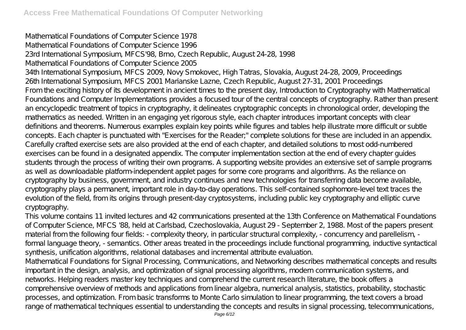Mathematical Foundations of Computer Science 1978 Mathematical Foundations of Computer Science 1996 23rd International Symposium, MFCS'98, Brno, Czech Republic, August 24-28, 1998 Mathematical Foundations of Computer Science 2005 34th International Symposium, MFCS 2009, Novy Smokovec, High Tatras, Slovakia, August 24-28, 2009, Proceedings 26th International Symposium, MFCS 2001 Marianske Lazne, Czech Republic, August 27-31, 2001 Proceedings From the exciting history of its development in ancient times to the present day, Introduction to Cryptography with Mathematical Foundations and Computer Implementations provides a focused tour of the central concepts of cryptography. Rather than present an encyclopedic treatment of topics in cryptography, it delineates cryptographic concepts in chronological order, developing the mathematics as needed. Written in an engaging yet rigorous style, each chapter introduces important concepts with clear definitions and theorems. Numerous examples explain key points while figures and tables help illustrate more difficult or subtle concepts. Each chapter is punctuated with "Exercises for the Reader;" complete solutions for these are included in an appendix. Carefully crafted exercise sets are also provided at the end of each chapter, and detailed solutions to most odd-numbered exercises can be found in a designated appendix. The computer implementation section at the end of every chapter guides students through the process of writing their own programs. A supporting website provides an extensive set of sample programs as well as downloadable platform-independent applet pages for some core programs and algorithms. As the reliance on cryptography by business, government, and industry continues and new technologies for transferring data become available, cryptography plays a permanent, important role in day-to-day operations. This self-contained sophomore-level text traces the evolution of the field, from its origins through present-day cryptosystems, including public key cryptography and elliptic curve cryptography.

This volume contains 11 invited lectures and 42 communications presented at the 13th Conference on Mathematical Foundations of Computer Science, MFCS '88, held at Carlsbad, Czechoslovakia, August 29 - September 2, 1988. Most of the papers present material from the following four fields: - complexity theory, in particular structural complexity, - concurrency and parellelism, formal language theory, - semantics. Other areas treated in the proceedings include functional programming, inductive syntactical synthesis, unification algorithms, relational databases and incremental attribute evaluation.

Mathematical Foundations for Signal Processing, Communications, and Networking describes mathematical concepts and results important in the design, analysis, and optimization of signal processing algorithms, modern communication systems, and networks. Helping readers master key techniques and comprehend the current research literature, the book offers a comprehensive overview of methods and applications from linear algebra, numerical analysis, statistics, probability, stochastic processes, and optimization. From basic transforms to Monte Carlo simulation to linear programming, the text covers a broad range of mathematical techniques essential to understanding the concepts and results in signal processing, telecommunications,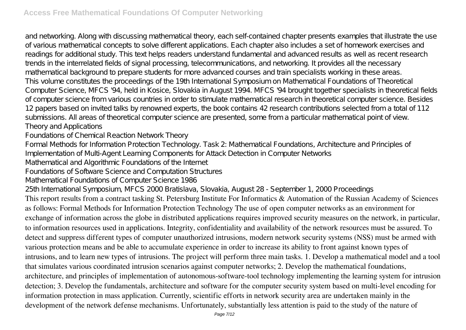and networking. Along with discussing mathematical theory, each self-contained chapter presents examples that illustrate the use of various mathematical concepts to solve different applications. Each chapter also includes a set of homework exercises and readings for additional study. This text helps readers understand fundamental and advanced results as well as recent research trends in the interrelated fields of signal processing, telecommunications, and networking. It provides all the necessary mathematical background to prepare students for more advanced courses and train specialists working in these areas. This volume constitutes the proceedings of the 19th International Symposium on Mathematical Foundations of Theoretical Computer Science, MFCS '94, held in Kosice, Slovakia in August 1994. MFCS '94 brought together specialists in theoretical fields of computer science from various countries in order to stimulate mathematical research in theoretical computer science. Besides 12 papers based on invited talks by renowned experts, the book contains 42 research contributions selected from a total of 112 submissions. All areas of theoretical computer science are presented, some from a particular mathematical point of view. Theory and Applications

Foundations of Chemical Reaction Network Theory

Formal Methods for Information Protection Technology. Task 2: Mathematical Foundations, Architecture and Principles of Implementation of Multi-Agent Learning Components for Attack Detection in Computer Networks

Mathematical and Algorithmic Foundations of the Internet

Foundations of Software Science and Computation Structures

Mathematical Foundations of Computer Science 1986

25th International Symposium, MFCS 2000 Bratislava, Slovakia, August 28 - September 1, 2000 Proceedings

This report results from a contract tasking St. Petersburg Institute For Informatics & Automation of the Russian Academy of Sciences as follows: Formal Methods for Information Protection Technology The use of open computer networks as an environment for exchange of information across the globe in distributed applications requires improved security measures on the network, in particular, to information resources used in applications. Integrity, confidentiality and availability of the network resources must be assured. To detect and suppress different types of computer unauthorized intrusions, modern network security systems (NSS) must be armed with various protection means and be able to accumulate experience in order to increase its ability to front against known types of intrusions, and to learn new types of intrusions. The project will perform three main tasks. 1. Develop a mathematical model and a tool that simulates various coordinated intrusion scenarios against computer networks; 2. Develop the mathematical foundations, architecture, and principles of implementation of autonomous-software-tool technology implementing the learning system for intrusion detection; 3. Develop the fundamentals, architecture and software for the computer security system based on multi-level encoding for information protection in mass application. Currently, scientific efforts in network security area are undertaken mainly in the development of the network defense mechanisms. Unfortunately, substantially less attention is paid to the study of the nature of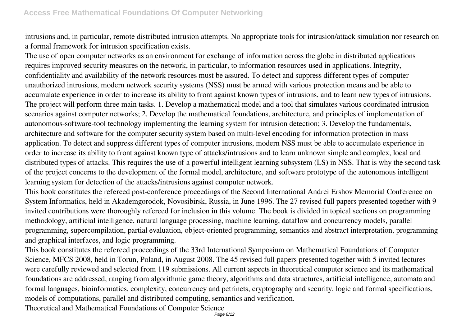intrusions and, in particular, remote distributed intrusion attempts. No appropriate tools for intrusion/attack simulation nor research on a formal framework for intrusion specification exists.

The use of open computer networks as an environment for exchange of information across the globe in distributed applications requires improved security measures on the network, in particular, to information resources used in applications. Integrity, confidentiality and availability of the network resources must be assured. To detect and suppress different types of computer unauthorized intrusions, modern network security systems (NSS) must be armed with various protection means and be able to accumulate experience in order to increase its ability to front against known types of intrusions, and to learn new types of intrusions. The project will perform three main tasks. 1. Develop a mathematical model and a tool that simulates various coordinated intrusion scenarios against computer networks; 2. Develop the mathematical foundations, architecture, and principles of implementation of autonomous-software-tool technology implementing the learning system for intrusion detection; 3. Develop the fundamentals, architecture and software for the computer security system based on multi-level encoding for information protection in mass application. To detect and suppress different types of computer intrusions, modern NSS must be able to accumulate experience in order to increase its ability to front against known type of attacks/intrusions and to learn unknown simple and complex, local and distributed types of attacks. This requires the use of a powerful intelligent learning subsystem (LS) in NSS. That is why the second task of the project concerns to the development of the formal model, architecture, and software prototype of the autonomous intelligent learning system for detection of the attacks/intrusions against computer network.

This book constitutes the refereed post-conference proceedings of the Second International Andrei Ershov Memorial Conference on System Informatics, held in Akademgorodok, Novosibirsk, Russia, in June 1996. The 27 revised full papers presented together with 9 invited contributions were thoroughly refereed for inclusion in this volume. The book is divided in topical sections on programming methodology, artificial intelligence, natural language processing, machine learning, dataflow and concurrency models, parallel programming, supercompilation, partial evaluation, object-oriented programming, semantics and abstract interpretation, programming and graphical interfaces, and logic programming.

This book constitutes the refereed proceedings of the 33rd International Symposium on Mathematical Foundations of Computer Science, MFCS 2008, held in Torun, Poland, in August 2008. The 45 revised full papers presented together with 5 invited lectures were carefully reviewed and selected from 119 submissions. All current aspects in theoretical computer science and its mathematical foundations are addressed, ranging from algorithmic game theory, algorithms and data structures, artificial intelligence, automata and formal languages, bioinformatics, complexity, concurrency and petrinets, cryptography and security, logic and formal specifications, models of computations, parallel and distributed computing, semantics and verification.

Theoretical and Mathematical Foundations of Computer Science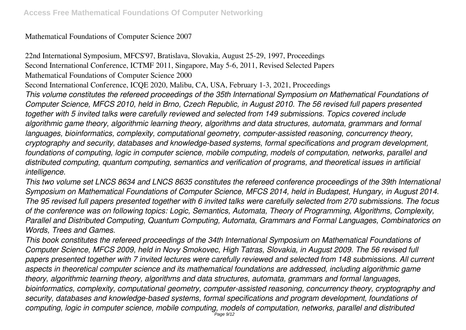### Mathematical Foundations of Computer Science 2007

22nd International Symposium, MFCS'97, Bratislava, Slovakia, August 25-29, 1997, Proceedings Second International Conference, ICTMF 2011, Singapore, May 5-6, 2011, Revised Selected Papers Mathematical Foundations of Computer Science 2000 Second International Conference, ICQE 2020, Malibu, CA, USA, February 1-3, 2021, Proceedings *This volume constitutes the refereed proceedings of the 35th International Symposium on Mathematical Foundations of Computer Science, MFCS 2010, held in Brno, Czech Republic, in August 2010. The 56 revised full papers presented together with 5 invited talks were carefully reviewed and selected from 149 submissions. Topics covered include algorithmic game theory, algorithmic learning theory, algorithms and data structures, automata, grammars and formal languages, bioinformatics, complexity, computational geometry, computer-assisted reasoning, concurrency theory, cryptography and security, databases and knowledge-based systems, formal specifications and program development, foundations of computing, logic in computer science, mobile computing, models of computation, networks, parallel and distributed computing, quantum computing, semantics and verification of programs, and theoretical issues in artificial intelligence.*

*This two volume set LNCS 8634 and LNCS 8635 constitutes the refereed conference proceedings of the 39th International Symposium on Mathematical Foundations of Computer Science, MFCS 2014, held in Budapest, Hungary, in August 2014. The 95 revised full papers presented together with 6 invited talks were carefully selected from 270 submissions. The focus of the conference was on following topics: Logic, Semantics, Automata, Theory of Programming, Algorithms, Complexity, Parallel and Distributed Computing, Quantum Computing, Automata, Grammars and Formal Languages, Combinatorics on Words, Trees and Games.*

*This book constitutes the refereed proceedings of the 34th International Symposium on Mathematical Foundations of Computer Science, MFCS 2009, held in Novy Smokovec, High Tatras, Slovakia, in August 2009. The 56 revised full papers presented together with 7 invited lectures were carefully reviewed and selected from 148 submissions. All current aspects in theoretical computer science and its mathematical foundations are addressed, including algorithmic game theory, algorithmic tearning theory, algorithms and data structures, automata, grammars and formal languages, bioinformatics, complexity, computational geometry, computer-assisted reasoning, concurrency theory, cryptography and security, databases and knowledge-based systems, formal specifications and program development, foundations of computing, logic in computer science, mobile computing, models of computation, networks, parallel and distributed*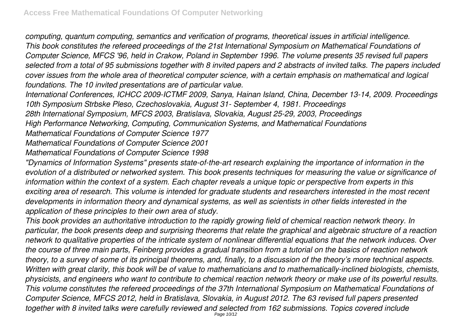*computing, quantum computing, semantics and verification of programs, theoretical issues in artificial intelligence. This book constitutes the refereed proceedings of the 21st International Symposium on Mathematical Foundations of Computer Science, MFCS '96, held in Crakow, Poland in September 1996. The volume presents 35 revised full papers selected from a total of 95 submissions together with 8 invited papers and 2 abstracts of invited talks. The papers included cover issues from the whole area of theoretical computer science, with a certain emphasis on mathematical and logical foundations. The 10 invited presentations are of particular value.*

*International Conferences, ICHCC 2009-ICTMF 2009, Sanya, Hainan Island, China, December 13-14, 2009. Proceedings 10th Symposium Strbske Pleso, Czechoslovakia, August 31- September 4, 1981. Proceedings*

*28th International Symposium, MFCS 2003, Bratislava, Slovakia, August 25-29, 2003, Proceedings*

*High Performance Networking, Computing, Communication Systems, and Mathematical Foundations*

*Mathematical Foundations of Computer Science 1977*

*Mathematical Foundations of Computer Science 2001*

*Mathematical Foundations of Computer Science 1998*

*"Dynamics of Information Systems" presents state-of-the-art research explaining the importance of information in the evolution of a distributed or networked system. This book presents techniques for measuring the value or significance of information within the context of a system. Each chapter reveals a unique topic or perspective from experts in this exciting area of research. This volume is intended for graduate students and researchers interested in the most recent developments in information theory and dynamical systems, as well as scientists in other fields interested in the application of these principles to their own area of study.*

*This book provides an authoritative introduction to the rapidly growing field of chemical reaction network theory. In particular, the book presents deep and surprising theorems that relate the graphical and algebraic structure of a reaction network to qualitative properties of the intricate system of nonlinear differential equations that the network induces. Over the course of three main parts, Feinberg provides a gradual transition from a tutorial on the basics of reaction network theory, to a survey of some of its principal theorems, and, finally, to a discussion of the theory's more technical aspects. Written with great clarity, this book will be of value to mathematicians and to mathematically-inclined biologists, chemists, physicists, and engineers who want to contribute to chemical reaction network theory or make use of its powerful results. This volume constitutes the refereed proceedings of the 37th International Symposium on Mathematical Foundations of Computer Science, MFCS 2012, held in Bratislava, Slovakia, in August 2012. The 63 revised full papers presented together with 8 invited talks were carefully reviewed and selected from 162 submissions. Topics covered include*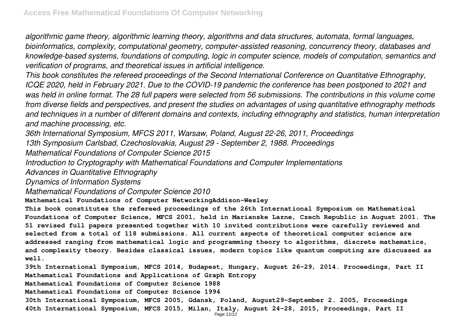*algorithmic game theory, algorithmic learning theory, algorithms and data structures, automata, formal languages, bioinformatics, complexity, computational geometry, computer-assisted reasoning, concurrency theory, databases and knowledge-based systems, foundations of computing, logic in computer science, models of computation, semantics and verification of programs, and theoretical issues in artificial intelligence.*

*This book constitutes the refereed proceedings of the Second International Conference on Quantitative Ethnography, ICQE 2020, held in February 2021. Due to the COVID-19 pandemic the conference has been postponed to 2021 and was held in online format. The 28 full papers were selected from 56 submissions. The contributions in this volume come from diverse fields and perspectives, and present the studies on advantages of using quantitative ethnography methods and techniques in a number of different domains and contexts, including ethnography and statistics, human interpretation and machine processing, etc.*

*36th International Symposium, MFCS 2011, Warsaw, Poland, August 22-26, 2011, Proceedings 13th Symposium Carlsbad, Czechoslovakia, August 29 - September 2, 1988. Proceedings*

*Mathematical Foundations of Computer Science 2015*

*Introduction to Cryptography with Mathematical Foundations and Computer Implementations*

*Advances in Quantitative Ethnography*

*Dynamics of Information Systems*

*Mathematical Foundations of Computer Science 2010*

**Mathematical Foundations of Computer NetworkingAddison-Wesley**

**This book constitutes the refereed proceedings of the 26th International Symposium on Mathematical Foundations of Computer Science, MFCS 2001, held in Marianske Lazne, Czech Republic in August 2001. The 51 revised full papers presented together with 10 invited contributions were carefully reviewed and selected from a total of 118 submissions. All current aspects of theoretical computer science are addressed ranging from mathematical logic and programming theory to algorithms, discrete mathematics, and complexity theory. Besides classical issues, modern topics like quantum computing are discussed as well.**

**39th International Symposium, MFCS 2014, Budapest, Hungary, August 26-29, 2014. Proceedings, Part II Mathematical Foundations and Applications of Graph Entropy Mathematical Foundations of Computer Science 1988 Mathematical Foundations of Computer Science 1994**

**30th International Symposium, MFCS 2005, Gdansk, Poland, August29-September 2. 2005, Proceedings**

**40th International Symposium, MFCS 2015, Milan, Italy, August 24-28, 2015, Proceedings, Part II**